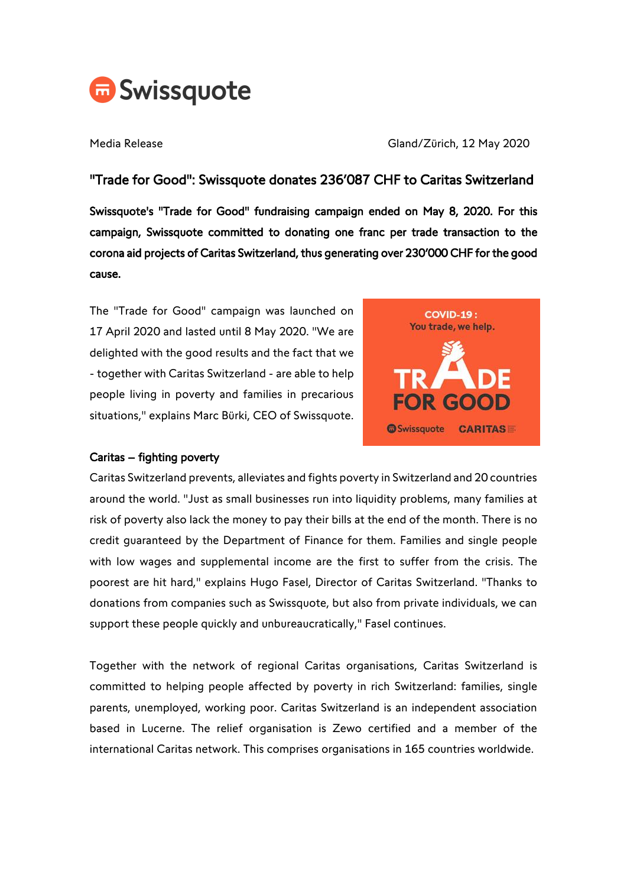

Media Release Gland/Zürich, 12 May 2020

# "Trade for Good": Swissquote donates 236'087 CHF to Caritas Switzerland

Swissquote's "Trade for Good" fundraising campaign ended on May 8, 2020. For this campaign, Swissquote committed to donating one franc per trade transaction to the corona aid projects of Caritas Switzerland, thus generating over 230'000 CHF for the good cause.

The "Trade for Good" campaign was launched on 17 April 2020 and lasted until 8 May 2020. "We are delighted with the good results and the fact that we - together with Caritas Switzerland - are able to help people living in poverty and families in precarious situations," explains Marc Bürki, CEO of Swissquote.



#### Caritas – fighting poverty

Caritas Switzerland prevents, alleviates and fights poverty in Switzerland and 20 countries around the world. "Just as small businesses run into liquidity problems, many families at risk of poverty also lack the money to pay their bills at the end of the month. There is no credit guaranteed by the Department of Finance for them. Families and single people with low wages and supplemental income are the first to suffer from the crisis. The poorest are hit hard," explains Hugo Fasel, Director of Caritas Switzerland. "Thanks to donations from companies such as Swissquote, but also from private individuals, we can support these people quickly and unbureaucratically," Fasel continues.

Together with the network of regional Caritas organisations, Caritas Switzerland is committed to helping people affected by poverty in rich Switzerland: families, single parents, unemployed, working poor. Caritas Switzerland is an independent association based in Lucerne. The relief organisation is Zewo certified and a member of the international Caritas network. This comprises organisations in 165 countries worldwide.